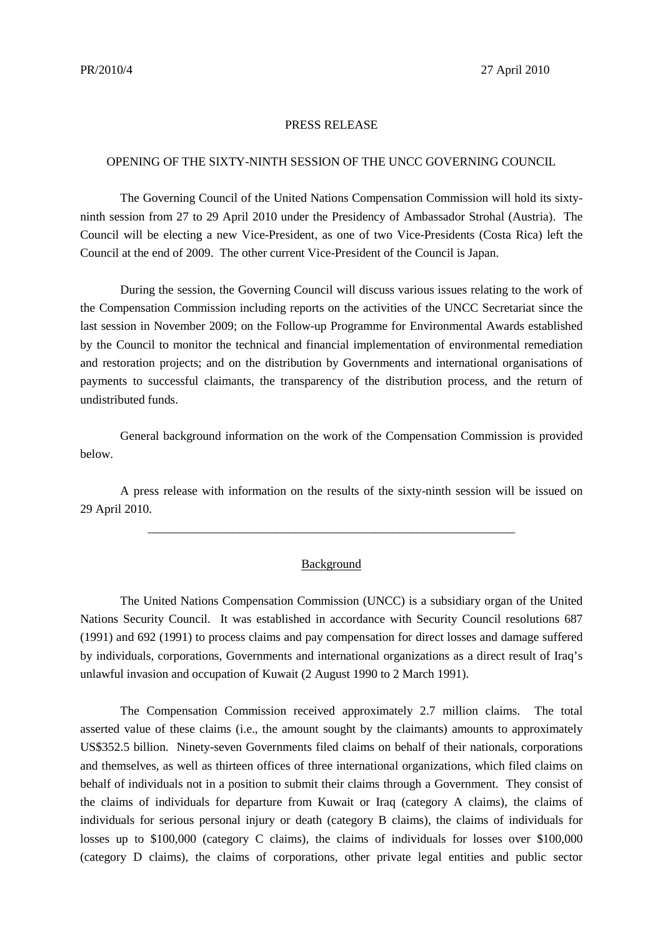## PRESS RELEASE

## OPENING OF THE SIXTY-NINTH SESSION OF THE UNCC GOVERNING COUNCIL

The Governing Council of the United Nations Compensation Commission will hold its sixtyninth session from 27 to 29 April 2010 under the Presidency of Ambassador Strohal (Austria). The Council will be electing a new Vice-President, as one of two Vice-Presidents (Costa Rica) left the Council at the end of 2009. The other current Vice-President of the Council is Japan.

During the session, the Governing Council will discuss various issues relating to the work of the Compensation Commission including reports on the activities of the UNCC Secretariat since the last session in November 2009; on the Follow-up Programme for Environmental Awards established by the Council to monitor the technical and financial implementation of environmental remediation and restoration projects; and on the distribution by Governments and international organisations of payments to successful claimants, the transparency of the distribution process, and the return of undistributed funds.

General background information on the work of the Compensation Commission is provided below.

A press release with information on the results of the sixty-ninth session will be issued on 29 April 2010.

\_\_\_\_\_\_\_\_\_\_\_\_\_\_\_\_\_\_\_\_\_\_\_\_\_\_\_\_\_\_\_\_\_\_\_\_\_\_\_\_\_\_\_\_\_\_\_\_\_\_\_\_\_\_\_\_\_\_\_\_

## Background

The United Nations Compensation Commission (UNCC) is a subsidiary organ of the United Nations Security Council. It was established in accordance with Security Council resolutions 687 (1991) and 692 (1991) to process claims and pay compensation for direct losses and damage suffered by individuals, corporations, Governments and international organizations as a direct result of Iraq's unlawful invasion and occupation of Kuwait (2 August 1990 to 2 March 1991).

The Compensation Commission received approximately 2.7 million claims. The total asserted value of these claims (i.e., the amount sought by the claimants) amounts to approximately US\$352.5 billion. Ninety-seven Governments filed claims on behalf of their nationals, corporations and themselves, as well as thirteen offices of three international organizations, which filed claims on behalf of individuals not in a position to submit their claims through a Government. They consist of the claims of individuals for departure from Kuwait or Iraq (category A claims), the claims of individuals for serious personal injury or death (category B claims), the claims of individuals for losses up to \$100,000 (category C claims), the claims of individuals for losses over \$100,000 (category D claims), the claims of corporations, other private legal entities and public sector